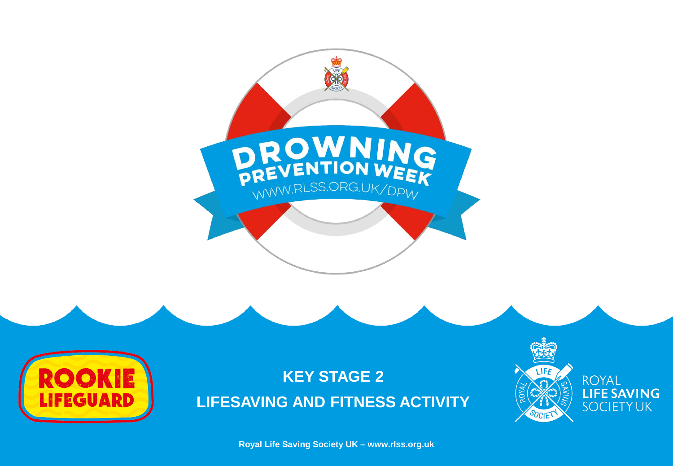



LIFE **ROYAL LIFE SAVING SOCIETY UK** SOCIET

**Royal Life Saving Society UK – www.rlss.org.uk**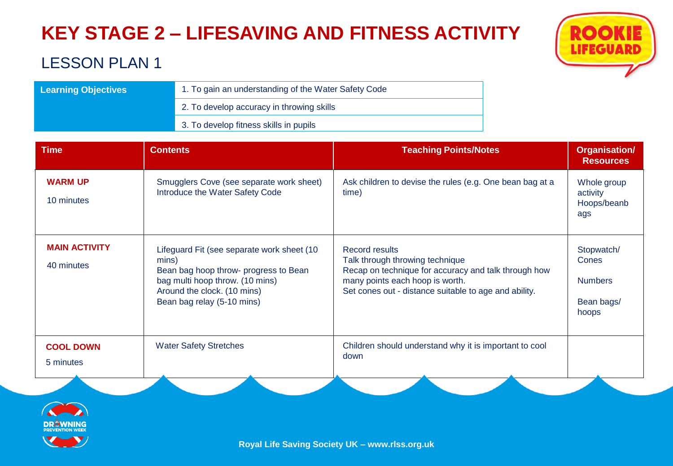| <b>Learning Objectives</b> | 1. To gain an understanding of the Water Safety Code |
|----------------------------|------------------------------------------------------|
|                            | 2. To develop accuracy in throwing skills            |
|                            | 3. To develop fitness skills in pupils               |

| <b>Time</b>                        | <b>Contents</b>                                                                                                                                                                               | <b>Teaching Points/Notes</b>                                                                                                                                                                                 | Organisation/<br><b>Resources</b>                            |
|------------------------------------|-----------------------------------------------------------------------------------------------------------------------------------------------------------------------------------------------|--------------------------------------------------------------------------------------------------------------------------------------------------------------------------------------------------------------|--------------------------------------------------------------|
| <b>WARM UP</b><br>10 minutes       | Smugglers Cove (see separate work sheet)<br>Introduce the Water Safety Code                                                                                                                   | Ask children to devise the rules (e.g. One bean bag at a<br>time)                                                                                                                                            | Whole group<br>activity<br>Hoops/beanb<br>ags                |
| <b>MAIN ACTIVITY</b><br>40 minutes | Lifeguard Fit (see separate work sheet (10)<br>mins)<br>Bean bag hoop throw- progress to Bean<br>bag multi hoop throw. (10 mins)<br>Around the clock. (10 mins)<br>Bean bag relay (5-10 mins) | <b>Record results</b><br>Talk through throwing technique<br>Recap on technique for accuracy and talk through how<br>many points each hoop is worth.<br>Set cones out - distance suitable to age and ability. | Stopwatch/<br>Cones<br><b>Numbers</b><br>Bean bags/<br>hoops |
| <b>COOL DOWN</b><br>5 minutes      | <b>Water Safety Stretches</b>                                                                                                                                                                 | Children should understand why it is important to cool<br>down                                                                                                                                               |                                                              |





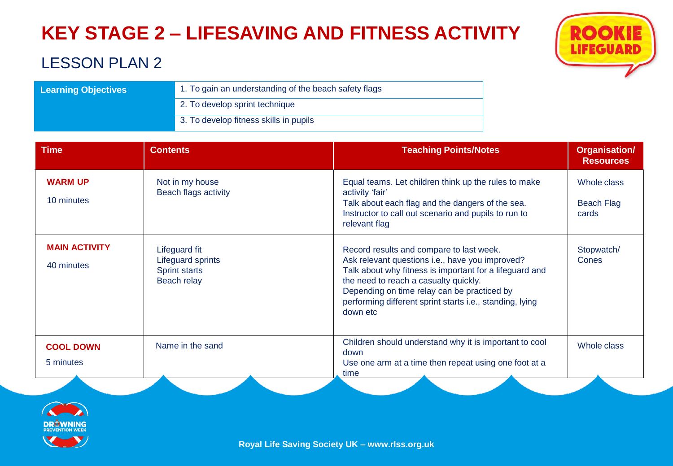| <b>Learning Objectives</b> | 1. To gain an understanding of the beach safety flags |
|----------------------------|-------------------------------------------------------|
|                            | 2. To develop sprint technique                        |
|                            | 3. To develop fitness skills in pupils                |

| <b>Time</b>                        | <b>Contents</b>                                                                  | <b>Teaching Points/Notes</b>                                                                                                                                                                                                                                                                                            | <b>Organisation/</b><br><b>Resources</b> |
|------------------------------------|----------------------------------------------------------------------------------|-------------------------------------------------------------------------------------------------------------------------------------------------------------------------------------------------------------------------------------------------------------------------------------------------------------------------|------------------------------------------|
| <b>WARM UP</b><br>10 minutes       | Not in my house<br>Beach flags activity                                          | Equal teams. Let children think up the rules to make<br>activity 'fair'<br>Talk about each flag and the dangers of the sea.<br>Instructor to call out scenario and pupils to run to<br>relevant flag                                                                                                                    | Whole class<br>Beach Flag<br>cards       |
| <b>MAIN ACTIVITY</b><br>40 minutes | <b>Lifeguard fit</b><br>Lifeguard sprints<br><b>Sprint starts</b><br>Beach relay | Record results and compare to last week.<br>Ask relevant questions i.e., have you improved?<br>Talk about why fitness is important for a lifeguard and<br>the need to reach a casualty quickly.<br>Depending on time relay can be practiced by<br>performing different sprint starts i.e., standing, lying<br>down etc. | Stopwatch/<br>Cones                      |
| <b>COOL DOWN</b><br>5 minutes      | Name in the sand                                                                 | Children should understand why it is important to cool<br>down<br>Use one arm at a time then repeat using one foot at a<br>time                                                                                                                                                                                         | Whole class                              |





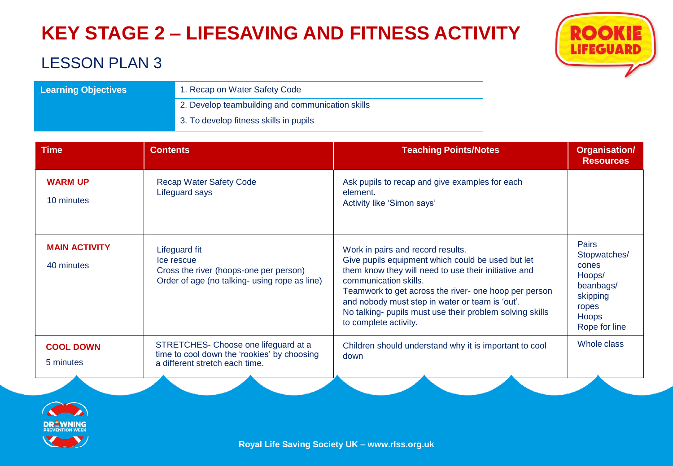| <b>Learning Objectives</b> | 1. Recap on Water Safety Code                    |
|----------------------------|--------------------------------------------------|
|                            | 2. Develop teambuilding and communication skills |
|                            | 3. To develop fitness skills in pupils           |

| <b>Time</b>                        | <b>Contents</b>                                                                                                               | <b>Teaching Points/Notes</b>                                                                                                                                                                                                                                                                                                                                             | Organisation/<br><b>Resources</b>                                                                                  |
|------------------------------------|-------------------------------------------------------------------------------------------------------------------------------|--------------------------------------------------------------------------------------------------------------------------------------------------------------------------------------------------------------------------------------------------------------------------------------------------------------------------------------------------------------------------|--------------------------------------------------------------------------------------------------------------------|
| <b>WARM UP</b><br>10 minutes       | <b>Recap Water Safety Code</b><br>Lifeguard says                                                                              | Ask pupils to recap and give examples for each<br>element.<br>Activity like 'Simon says'                                                                                                                                                                                                                                                                                 |                                                                                                                    |
| <b>MAIN ACTIVITY</b><br>40 minutes | <b>Lifeguard fit</b><br>Ice rescue<br>Cross the river (hoops-one per person)<br>Order of age (no talking- using rope as line) | Work in pairs and record results.<br>Give pupils equipment which could be used but let<br>them know they will need to use their initiative and<br>communication skills.<br>Teamwork to get across the river- one hoop per person<br>and nobody must step in water or team is 'out'.<br>No talking- pupils must use their problem solving skills<br>to complete activity. | <b>Pairs</b><br>Stopwatches/<br>cones<br>Hoops/<br>beanbags/<br>skipping<br>ropes<br><b>Hoops</b><br>Rope for line |
| <b>COOL DOWN</b><br>5 minutes      | STRETCHES- Choose one lifeguard at a<br>time to cool down the 'rookies' by choosing<br>a different stretch each time.         | Children should understand why it is important to cool<br>down                                                                                                                                                                                                                                                                                                           | Whole class                                                                                                        |





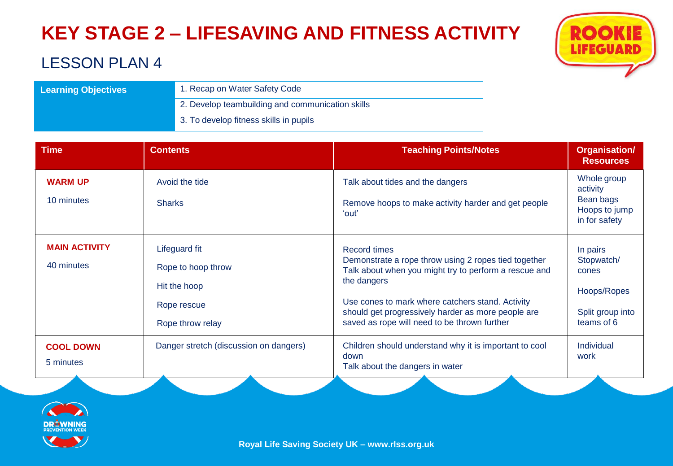| <b>Learning Objectives</b> | 1. Recap on Water Safety Code                    |
|----------------------------|--------------------------------------------------|
|                            | 2. Develop teambuilding and communication skills |
|                            | 3. To develop fitness skills in pupils           |

| <b>Time</b>                        | <b>Contents</b>                                                                        | <b>Teaching Points/Notes</b>                                                                                                                                                                                                                                                                           | Organisation/<br><b>Resources</b>                                                |
|------------------------------------|----------------------------------------------------------------------------------------|--------------------------------------------------------------------------------------------------------------------------------------------------------------------------------------------------------------------------------------------------------------------------------------------------------|----------------------------------------------------------------------------------|
| <b>WARM UP</b><br>10 minutes       | Avoid the tide<br><b>Sharks</b>                                                        | Talk about tides and the dangers<br>Remove hoops to make activity harder and get people<br>'out'                                                                                                                                                                                                       | Whole group<br>activity<br>Bean bags<br>Hoops to jump<br>in for safety           |
| <b>MAIN ACTIVITY</b><br>40 minutes | Lifeguard fit<br>Rope to hoop throw<br>Hit the hoop<br>Rope rescue<br>Rope throw relay | Record times<br>Demonstrate a rope throw using 2 ropes tied together<br>Talk about when you might try to perform a rescue and<br>the dangers<br>Use cones to mark where catchers stand. Activity<br>should get progressively harder as more people are<br>saved as rope will need to be thrown further | In pairs<br>Stopwatch/<br>cones<br>Hoops/Ropes<br>Split group into<br>teams of 6 |
| <b>COOL DOWN</b><br>5 minutes      | Danger stretch (discussion on dangers)                                                 | Children should understand why it is important to cool<br>down<br>Talk about the dangers in water                                                                                                                                                                                                      | Individual<br>work                                                               |





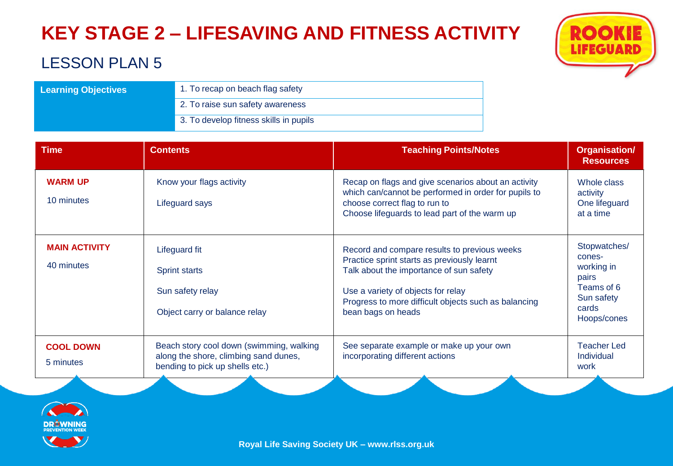### LESSON PLAN 5

**Learnin** 

| g Objectives | 1. To recap on beach flag safety       |
|--------------|----------------------------------------|
|              | 2. To raise sun safety awareness       |
|              | 3. To develop fitness skills in pupils |

| <b>Time</b>                        | <b>Contents</b>                                                                                                      | <b>Teaching Points/Notes</b>                                                                                                                                                                                                                               | <b>Organisation/</b><br><b>Resources</b>                                                          |
|------------------------------------|----------------------------------------------------------------------------------------------------------------------|------------------------------------------------------------------------------------------------------------------------------------------------------------------------------------------------------------------------------------------------------------|---------------------------------------------------------------------------------------------------|
| <b>WARM UP</b><br>10 minutes       | Know your flags activity<br>Lifeguard says                                                                           | Recap on flags and give scenarios about an activity<br>which can/cannot be performed in order for pupils to<br>choose correct flag to run to<br>Choose lifeguards to lead part of the warm up                                                              | Whole class<br>activity<br>One lifeguard<br>at a time                                             |
| <b>MAIN ACTIVITY</b><br>40 minutes | Lifeguard fit<br><b>Sprint starts</b><br>Sun safety relay<br>Object carry or balance relay                           | Record and compare results to previous weeks<br>Practice sprint starts as previously learnt<br>Talk about the importance of sun safety<br>Use a variety of objects for relay<br>Progress to more difficult objects such as balancing<br>bean bags on heads | Stopwatches/<br>cones-<br>working in<br>pairs<br>Teams of 6<br>Sun safety<br>cards<br>Hoops/cones |
| <b>COOL DOWN</b><br>5 minutes      | Beach story cool down (swimming, walking<br>along the shore, climbing sand dunes,<br>bending to pick up shells etc.) | See separate example or make up your own<br>incorporating different actions                                                                                                                                                                                | <b>Teacher Led</b><br>Individual<br>work                                                          |